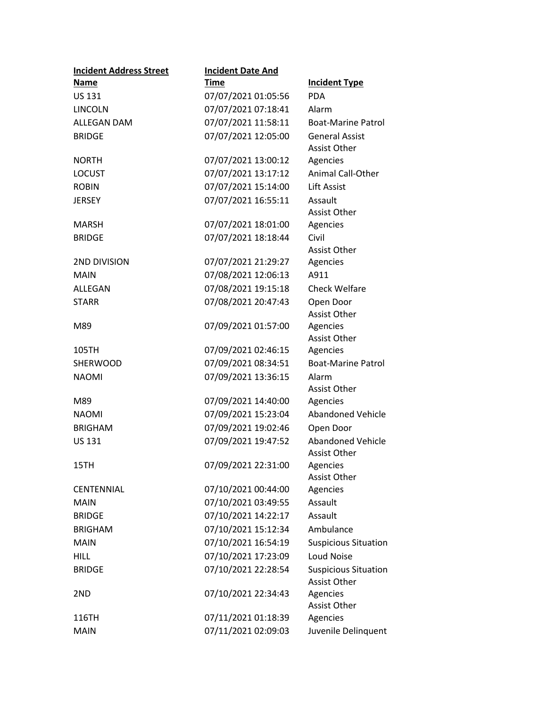| <b>Incident Address Street</b> | <b>Incident Date And</b> |                             |
|--------------------------------|--------------------------|-----------------------------|
| Name                           | <b>Time</b>              | <b>Incident Type</b>        |
| US 131                         | 07/07/2021 01:05:56      | <b>PDA</b>                  |
| <b>LINCOLN</b>                 | 07/07/2021 07:18:41      | Alarm                       |
| <b>ALLEGAN DAM</b>             | 07/07/2021 11:58:11      | <b>Boat-Marine Patrol</b>   |
| <b>BRIDGE</b>                  | 07/07/2021 12:05:00      | <b>General Assist</b>       |
|                                |                          | <b>Assist Other</b>         |
| <b>NORTH</b>                   | 07/07/2021 13:00:12      | Agencies                    |
| <b>LOCUST</b>                  | 07/07/2021 13:17:12      | <b>Animal Call-Other</b>    |
| <b>ROBIN</b>                   | 07/07/2021 15:14:00      | <b>Lift Assist</b>          |
| <b>JERSEY</b>                  | 07/07/2021 16:55:11      | Assault                     |
|                                |                          | Assist Other                |
| MARSH                          | 07/07/2021 18:01:00      | Agencies                    |
| <b>BRIDGE</b>                  | 07/07/2021 18:18:44      | Civil                       |
|                                |                          | <b>Assist Other</b>         |
| 2ND DIVISION                   | 07/07/2021 21:29:27      | Agencies                    |
| <b>MAIN</b>                    | 07/08/2021 12:06:13      | A911                        |
| ALLEGAN                        | 07/08/2021 19:15:18      | <b>Check Welfare</b>        |
| <b>STARR</b>                   | 07/08/2021 20:47:43      | Open Door                   |
| M89                            | 07/09/2021 01:57:00      | Assist Other<br>Agencies    |
|                                |                          | <b>Assist Other</b>         |
| 105TH                          | 07/09/2021 02:46:15      | Agencies                    |
| <b>SHERWOOD</b>                | 07/09/2021 08:34:51      | <b>Boat-Marine Patrol</b>   |
| <b>NAOMI</b>                   | 07/09/2021 13:36:15      | Alarm                       |
|                                |                          | <b>Assist Other</b>         |
| M89                            | 07/09/2021 14:40:00      | Agencies                    |
| <b>NAOMI</b>                   | 07/09/2021 15:23:04      | <b>Abandoned Vehicle</b>    |
| <b>BRIGHAM</b>                 | 07/09/2021 19:02:46      | Open Door                   |
| <b>US 131</b>                  | 07/09/2021 19:47:52      | <b>Abandoned Vehicle</b>    |
|                                |                          | <b>Assist Other</b>         |
| 15TH                           | 07/09/2021 22:31:00      | Agencies                    |
|                                |                          | Assist Other                |
| <b>CENTENNIAL</b>              | 07/10/2021 00:44:00      | Agencies                    |
| <b>MAIN</b>                    | 07/10/2021 03:49:55      | Assault                     |
| <b>BRIDGE</b>                  | 07/10/2021 14:22:17      | Assault                     |
| <b>BRIGHAM</b>                 | 07/10/2021 15:12:34      | Ambulance                   |
| <b>MAIN</b>                    | 07/10/2021 16:54:19      | <b>Suspicious Situation</b> |
| <b>HILL</b>                    | 07/10/2021 17:23:09      | Loud Noise                  |
| <b>BRIDGE</b>                  | 07/10/2021 22:28:54      | <b>Suspicious Situation</b> |
|                                |                          | <b>Assist Other</b>         |
| 2ND                            | 07/10/2021 22:34:43      | Agencies                    |
|                                |                          | <b>Assist Other</b>         |
| 116TH                          | 07/11/2021 01:18:39      | Agencies                    |
| <b>MAIN</b>                    | 07/11/2021 02:09:03      | Juvenile Delinquent         |